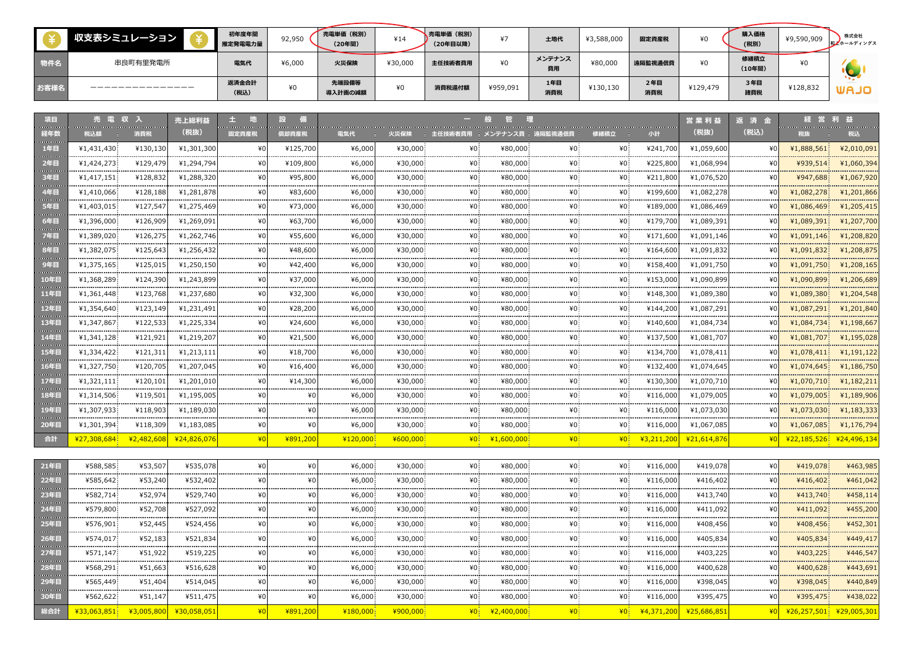|      | 収支表シミュレーション | 初年度年間<br>推定発電電力量 | 92,950 | 売電単価 (税別)<br>(20年間) | ¥14     | 、売電単価(税別)<br>(20年目以降) | $*7$     | 土地代          | ¥3,588,000 | 固定資産税      | ¥0       | 購入価格<br>(税別)   | ¥9,590,909 | 株式会社<br>和上ホールディングス |
|------|-------------|------------------|--------|---------------------|---------|-----------------------|----------|--------------|------------|------------|----------|----------------|------------|--------------------|
| 物件名  | 串良町有里発電所    | 電気代              | ¥6,000 | 火災保険                | ¥30,000 | 主任技術者費用               | ¥0       | メンテナンス<br>費用 | ¥80,00     | 遠隔監視通信費    | ¥O       | 修繕積立<br>(10年間) | ¥0         |                    |
| お客様名 |             | 返済金合計<br>(税込)    | ¥0     | 先端設備等<br>導入計画の減額    | ¥0      | 消費税還付額                | ¥959,091 | 1年目<br>消費税   | ¥130,130   | 2年目<br>消費税 | ¥129,479 | 3年目<br>諸費税     | ¥128,832   | <b>UAJO</b>        |

| 項目<br><b>Service Control</b>            |                           | <b>Continued in the Continued State</b> | 売上総利益<br>(税抜)               | <b>CONTRACTOR</b> |              |            |                                    |                 |              |                       |                 |            | 営業利益<br>(税抜) | 返済金<br>(税込)      |                         |            |
|-----------------------------------------|---------------------------|-----------------------------------------|-----------------------------|-------------------|--------------|------------|------------------------------------|-----------------|--------------|-----------------------|-----------------|------------|--------------|------------------|-------------------------|------------|
| 経年数<br><b>CONTRACTOR</b>                | 税込額                       | 消費税                                     |                             | 固定資産税             | 償却資産税        | 電気代        | 火災保険                               | 主任技術者費用         |              | Ⅰ メンテナンス費 Ⅰ 遠隔監視通信費 Ⅰ | 修繕積立            | 小計         |              |                  | 税抜                      | 税込         |
| 1年目<br><b>Contractor</b>                | ¥1,431,430                | ¥130,130                                | ¥1,301,300                  | ¥O                | ¥125,700     | ¥6,000     | ¥30,000                            | ¥U:             | ¥80,000      | ¥0.                   | ¥0              | ¥241,700   | ¥1,059,600   | ¥∩               | ¥1,888,561              | ¥2,010,091 |
| 2年目<br><b>CONTRACTOR</b>                | ¥1,424,273                | ¥129,479                                | ¥1,294,794                  | ¥Ū                | ¥109,800     | ¥6,000     | ¥30,000                            |                 | ¥80,000      |                       | ¥0.             | ¥225,800   | ¥1,068,994   |                  | ¥939,514                | ¥1,060,394 |
| 3年目                                     | ¥1,417,151                | ¥128,832                                | ¥1,288,320                  | ¥O                | ¥95,800      | ¥6,000     | ¥30,000                            | ¥۵              | ¥80,000      | ¥0.                   | ¥0.             | ¥211,800   | ¥1,076,520   |                  | ¥947,688                | ¥1,067,920 |
| 4年目                                     | ¥1,410,066                | ¥128,188                                | ¥1,281,878                  | ¥Ū<br>.           | ¥83,600      | ¥6,000     | ¥30,000                            | ¥۵              | ¥80,000      | ¥0.<br>.              | ¥0.             | ¥199,600   | ¥1,082,278   | ¥0<br>---------- | ¥1,082,278              | ¥1,201,866 |
| <b>Service</b><br>5年目                   | ¥1,403,015                | ¥127,547                                | ¥1,275,469                  | ¥O                | ¥73,000      | ¥6,000     | ¥30,000                            |                 | ¥80,000      |                       | ¥0.             | ¥189,000   | ¥1,086,469   |                  | ¥1,086,469              | ¥1,205,415 |
| <b>Continued by</b><br>6年目              | ¥1,396,000                | ¥126,909                                | ¥1,269,091                  |                   | ¥63,700      | ¥6,000     | ¥30,000                            |                 | ¥80,000      |                       | ¥0.             | ¥179,700   | ¥1,089,39:   |                  | ¥1,089,391              | ¥1,207,700 |
| <b>Service State</b><br>7年目             | ¥1,389,020                | <br>¥126,275                            | -------------<br>¥1,262,746 |                   | .<br>¥55,600 | <br>¥6,000 | ¥30,000                            |                 | .<br>¥80,000 |                       | ¥0.             | ¥171,600   | ¥1,091,146   |                  | ¥1.091.146              | ¥1,208,820 |
| <b>Service Control</b><br>8年目           | ¥1,382,075                | ¥125,643                                | ¥1,256,432                  | ¥0                | ¥48,600      | ¥6,000     | ¥30,000                            |                 | ¥80,000      | ¥0.                   | ¥0.             | ¥164,600   | ¥1,091,832   |                  | ¥1,091,832              | ¥1,208,875 |
| 9年目                                     | ¥1,375,165                | ¥125,015                                | ¥1,250,150                  | ¥٥                | ¥42,400      | ¥6,000     | ¥30,000                            | ¥0.             | ¥80,000      | ¥0.                   | ¥0.             | ¥158,400   | ¥1,091,750   |                  | ¥1,091,750              | ¥1,208,165 |
| <b>Service</b><br>10年目                  | ¥1,368,289                | .<br>¥124,390                           | ¥1,243,899                  | <br>¥O            | ¥37,000      | ¥6,000     | ¥30,000                            |                 | ¥80,000      | ¥0.                   | ¥O.             | ¥153,000   | ¥1,090,899   |                  | ¥1,090,899              | ¥1,206,689 |
| <b>Contract Contract</b><br>11年目        | ¥1,361,448                | ¥123,768                                | ¥1,237,680                  | ¥O                | ¥32,300      | ¥6,000     | ¥30,000                            | ¥۵              | ¥80,000      | ¥0.                   | ¥0.             | ¥148,300   | ¥1,089,380   |                  | ¥1,089,380              | ¥1,204,548 |
| <b>CONTRACTOR</b><br>12年目               | -----------<br>¥1,354,640 | .<br>¥123,149                           | ¥1,231,49:                  |                   | .<br>¥28,200 | <br>¥6,000 | ¥30,000                            |                 | ¥80,000      |                       | ¥0.             | ¥144,200   | ¥1,087,29    |                  | ¥1,087,291              | ¥1,201,840 |
| <b>Contractor</b><br>13年目               | ¥1,347,867                | ¥122,533                                | ¥1,225,334                  |                   | ¥24,600      | ¥6,000     | ¥30,000                            |                 | ¥80,000      |                       | ¥0.             | ¥140,600   | ¥1,084,734   |                  | ¥1.084.734              | ¥1,198,667 |
| <b>Service Control</b><br>14年目          | ¥1,341,128                | ¥121,921                                | ¥1,219,207                  | ¥٥                | ¥21,500      | ¥6,000     | ¥30,000                            |                 | ¥80,000      | ¥0.                   | ¥0              | ¥137,500   | ¥1,081,707   |                  | ¥1,081,707              | ¥1,195,028 |
| <b>CONTRACTOR</b><br>15年目               | ¥1,334,422                | ¥121,311                                | ¥1,213,111                  |                   | ¥18,700      | ¥6,000     | ¥30,000                            |                 | ¥80,000      | ¥0:                   | ¥0.             | ¥134,700   | ¥1,078,411   |                  | ¥1,078,411              | ¥1,191,122 |
| 16年目                                    | ¥1,327,750                | ¥120,705                                | ¥1,207,045                  | ¥٨                | ¥16,400      | ¥6,000     | ¥30,000                            |                 | ¥80,000      | ¥∩∶                   | ¥0.             | ¥132,400   | ¥1,074,645   |                  | ¥1,074,645              | ¥1,186,750 |
| <b>Service Contract</b><br>17年目         | ¥1,321,111                | ¥120,101                                | ¥1,201,010                  | ¥٨                | ¥14,300      | ¥6,000     | ¥30,000                            |                 | ¥80,000      |                       | ¥0.             | ¥130,300   | ¥1,070,710   |                  | ¥1.070.710              | ¥1,182,211 |
| <b>CONTRACTOR</b><br>18年目               | ¥1,314,506                | ¥119,501                                | ¥1,195,005                  |                   |              | ¥6,000     | ¥30,000                            |                 | ¥80,000      |                       | ¥O.             | ¥116,000   | ¥1,079,005   |                  | ¥1,079,005              | ¥1,189,906 |
| <b>Contractor</b><br>19年目               | ¥1,307,933                | .<br>¥118,903                           | .<br>¥1,189,030             | ¥۵                | ¥O           | <br>¥6,000 | ------ <i>-------</i> -<br>¥30,000 | ¥۵              | <br>¥80,000  | ¥0.                   | ¥O.             | ¥116,000   | ¥1,073,030   | --------------   | ¥1,073,030              | ¥1,183,333 |
| 20年目                                    | ¥1,301,394                | ¥118,309                                | ¥1,183,085                  | ¥O                | ¥0           | ¥6,000     | ¥30,000                            | $*0$            | ¥80,000      | ¥0.                   | ¥0.             | ¥116,000   | ¥1,067,085   | ¥O               | ¥1,067,085              | ¥1,176,794 |
| 合計                                      | ¥27,308,684               | ¥2,482,608                              | ¥24,826,076                 | $*0$              | ¥891,200     | ¥120,000   | ¥600,000                           | 40 <sup>1</sup> | ¥1,600,000   | 40 <sup>1</sup>       | 40 <sup>1</sup> | ¥3,211,200 | ¥21,614,876  | 40               | ¥22,185,526 ¥24,496,134 |            |
|                                         |                           |                                         |                             |                   |              |            |                                    |                 |              |                       |                 |            |              |                  |                         |            |
| 21年目                                    | ¥588,585                  | ¥53,507                                 | ¥535,078                    | ¥O                | ¥0           | ¥6,000     | ¥30,000                            | ¥0:             | ¥80,000      | ¥0.                   | ¥0              | ¥116,000   | ¥419,078     | ¥∩               | ¥419,078                | ¥463,985   |
| 22年目                                    | ¥585,642                  | ¥53,240                                 | ¥532,402                    | ¥٥                | ¥0           | ¥6,000:    | ¥30,000                            | ¥0.             | ¥80,000      | ¥0.                   | ¥0.             | ¥116,000   | ¥416,402     | ¥O               | ¥416,402                | ¥461,042   |
| <b>Continued in the Continued State</b> | ¥582 714                  | ¥52.974                                 | .<br>¥529 740               |                   |              | DOO A¥     | LOUD ULA                           |                 | nnn na¥      | ¥∩:                   | ¥∩:             | 4116000    | .<br>¥413740 |                  | ¥413 740                | ¥458 114   |

| 22年目 | ¥585,642    | ¥53,240 | ¥532,402               |          | ¥6,000.    | ¥30,000  | ¥0.             | ¥80,000    | ¥0. | ¥0.  | ¥116,000 | ¥416,402                      |      | ¥416,402                | ¥461,042 |
|------|-------------|---------|------------------------|----------|------------|----------|-----------------|------------|-----|------|----------|-------------------------------|------|-------------------------|----------|
| 23年目 | ¥582,714    | ¥52,974 | ¥529,740               | ¥0       | ¥6,000     | ¥30,000  | ¥0.             | ¥80,000    | ¥0. | ¥0.  | ¥116,000 | ¥413,740                      | ¥0   | ¥413,740                | ¥458,114 |
| 24年目 | ¥579,800    | ¥52,708 | ¥527,092               | ¥0       | ¥6,000     | ¥30,000  | ¥0.             | ¥80,000    | ¥0: | ¥0.  | ¥116,000 | ¥411,092                      | ¥0   | ¥411,092                | ¥455,200 |
| 25年目 | ¥576,901    | ¥52,445 | ¥524,456               |          | ¥6,000.    | ¥30,000  | ¥0.             | ¥80,000    | ¥0. | ¥0.  | ¥116,000 | ¥408,456                      | ¥01  | ¥408,456                | ¥452,301 |
| 26年目 | ¥574.017    | ¥52,183 | ¥521,834               | ¥O.      | ¥6,000     | ¥30.000  | ¥0.             | ¥80,000    | ¥0. | ¥0.  | ¥116,000 | ¥405,834                      | ¥01  | ¥405,834                | ¥449,417 |
| 27年目 | ¥571,147    | ¥51,922 | ¥519,225               | ¥O       | ¥6,000     | ¥30,000  | ¥0.             | ¥80,000    | ¥0. | ¥0.  | ¥116,000 | ¥403,225                      | ¥0   | ¥403,225                | ¥446,547 |
| 28年目 | ¥568,291    | ¥51,663 | ¥516,628               | ¥O       | ¥6,000     | ¥30,000  | ¥0.             | ¥80,000    | ¥0. | ¥0.  | ¥116,000 | ¥400,628                      | ¥0   | ¥400,628                | ¥443,691 |
| 29年目 | ¥565,449    | ¥51,404 | ¥514,045               | ¥O       | ¥6,000     | ¥30,000  | ¥0              | ¥80,000    | ¥0. | ¥0.  | ¥116,000 | ¥398,045                      | ¥0   | ¥398,045                | ¥440,849 |
| 30年目 | ¥562,622    | ¥51,147 | ¥511,475               | ¥O       | ¥6,000     | ¥30,000  | ¥0.             | ¥80,000    | ¥0. | ¥0.  | ¥116,000 | ¥395,475                      | ¥0   | ¥395,475                | ¥438,022 |
| 総合計  | 433,063,851 |         | ¥3,005,800 ¥30,058,051 | ¥891,200 | $*180,000$ | ¥900,000 | 40 <sup>2</sup> | ¥2,400,000 |     | $*0$ |          | <u>¥4,371,200 ¥25,686,851</u> | $*0$ | ¥26,257,501 ¥29,005,301 |          |